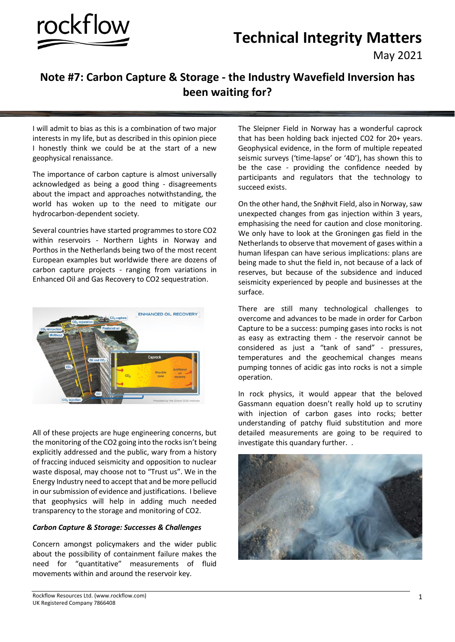



May 2021

# **Note #7: Carbon Capture & Storage - the Industry Wavefield Inversion has been waiting for?**

I will admit to bias as this is a combination of two major interests in my life, but as described in this opinion piece I honestly think we could be at the start of a new geophysical renaissance.

The importance of carbon capture is almost universally acknowledged as being a good thing - disagreements about the impact and approaches notwithstanding, the world has woken up to the need to mitigate our hydrocarbon-dependent society*.*

Several countries have started programmes to store CO2 within reservoirs - Northern Lights in Norway and Porthos in the Netherlands being two of the most recent European examples but worldwide there are dozens of carbon capture projects - ranging from variations in Enhanced Oil and Gas Recovery to CO2 sequestration.



All of these projects are huge engineering concerns, but the monitoring of the CO2 going into the rocks isn't being explicitly addressed and the public, wary from a history of fraccing induced seismicity and opposition to nuclear waste disposal, may choose not to "Trust us". We in the Energy Industry need to accept that and be more pellucid in our submission of evidence and justifications. I believe that geophysics will help in adding much needed transparency to the storage and monitoring of CO2.

## *Carbon Capture & Storage: Successes & Challenges*

Concern amongst policymakers and the wider public about the possibility of containment failure makes the need for "quantitative" measurements of fluid movements within and around the reservoir key.

The Sleipner Field in Norway has a wonderful caprock that has been holding back injected CO2 for 20+ years. Geophysical evidence, in the form of multiple repeated seismic surveys ('time-lapse' or '4D'), has shown this to be the case - providing the confidence needed by participants and regulators that the technology to succeed exists.

On the other hand, the Snǿhvit Field, also in Norway, saw unexpected changes from gas injection within 3 years, emphasising the need for caution and close monitoring. We only have to look at the Groningen gas field in the Netherlands to observe that movement of gases within a human lifespan can have serious implications: plans are being made to shut the field in, not because of a lack of reserves, but because of the subsidence and induced seismicity experienced by people and businesses at the surface.

There are still many technological challenges to overcome and advances to be made in order for Carbon Capture to be a success: pumping gases into rocks is not as easy as extracting them - the reservoir cannot be considered as just a "tank of sand" - pressures, temperatures and the geochemical changes means pumping tonnes of acidic gas into rocks is not a simple operation.

In rock physics, it would appear that the beloved Gassmann equation doesn't really hold up to scrutiny with injection of carbon gases into rocks; better understanding of patchy fluid substitution and more detailed measurements are going to be required to investigate this quandary further. .

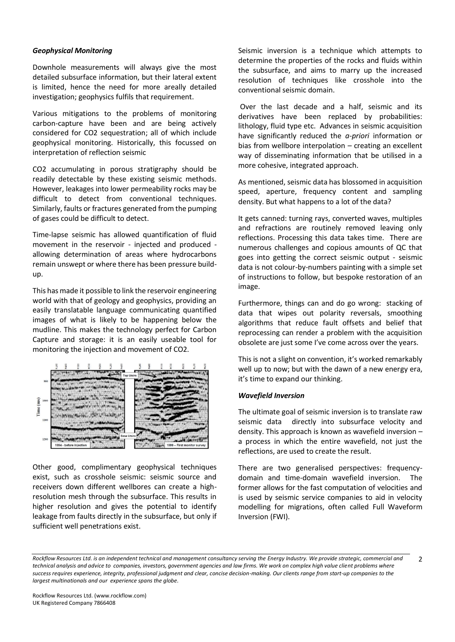#### *Geophysical Monitoring*

Downhole measurements will always give the most detailed subsurface information, but their lateral extent is limited, hence the need for more areally detailed investigation; geophysics fulfils that requirement.

Various mitigations to the problems of monitoring carbon-capture have been and are being actively considered for CO2 sequestration; all of which include geophysical monitoring. Historically, this focussed on interpretation of reflection seismic

CO2 accumulating in porous stratigraphy should be readily detectable by these existing seismic methods. However, leakages into lower permeability rocks may be difficult to detect from conventional techniques. Similarly, faults or fractures generated from the pumping of gases could be difficult to detect.

Time-lapse seismic has allowed quantification of fluid movement in the reservoir - injected and produced allowing determination of areas where hydrocarbons remain unswept or where there has been pressure buildup.

This has made it possible to link the reservoir engineering world with that of geology and geophysics, providing an easily translatable language communicating quantified images of what is likely to be happening below the mudline. This makes the technology perfect for Carbon Capture and storage: it is an easily useable tool for monitoring the injection and movement of CO2.



Other good, complimentary geophysical techniques exist, such as crosshole seismic: seismic source and receivers down different wellbores can create a highresolution mesh through the subsurface. This results in higher resolution and gives the potential to identify leakage from faults directly in the subsurface, but only if sufficient well penetrations exist.

Seismic inversion is a technique which attempts to determine the properties of the rocks and fluids within the subsurface, and aims to marry up the increased resolution of techniques like crosshole into the conventional seismic domain.

Over the last decade and a half, seismic and its derivatives have been replaced by probabilities: lithology, fluid type etc. Advances in seismic acquisition have significantly reduced the *a-priori* information or bias from wellbore interpolation – creating an excellent way of disseminating information that be utilised in a more cohesive, integrated approach.

As mentioned, seismic data has blossomed in acquisition speed, aperture, frequency content and sampling density. But what happens to a lot of the data?

It gets canned: turning rays, converted waves, multiples and refractions are routinely removed leaving only reflections. Processing this data takes time. There are numerous challenges and copious amounts of QC that goes into getting the correct seismic output - seismic data is not colour-by-numbers painting with a simple set of instructions to follow, but bespoke restoration of an image.

Furthermore, things can and do go wrong: stacking of data that wipes out polarity reversals, smoothing algorithms that reduce fault offsets and belief that reprocessing can render a problem with the acquisition obsolete are just some I've come across over the years.

This is not a slight on convention, it's worked remarkably well up to now; but with the dawn of a new energy era, it's time to expand our thinking.

## *Wavefield Inversion*

The ultimate goal of seismic inversion is to translate raw seismic data directly into subsurface velocity and density. This approach is known as wavefield inversion – a process in which the entire wavefield, not just the reflections, are used to create the result.

There are two generalised perspectives: frequencydomain and time-domain wavefield inversion. The former allows for the fast computation of velocities and is used by seismic service companies to aid in velocity modelling for migrations, often called Full Waveform Inversion (FWI).

*Rockflow Resources Ltd. is an independent technical and management consultancy serving the Energy Industry. We provide strategic, commercial and technical analysis and advice to companies, investors, government agencies and law firms. We work on complex high value client problems where success requires experience, integrity, professional judgment and clear, concise decision-making. Our clients range from start-up companies to the largest multinationals and our experience spans the globe.*